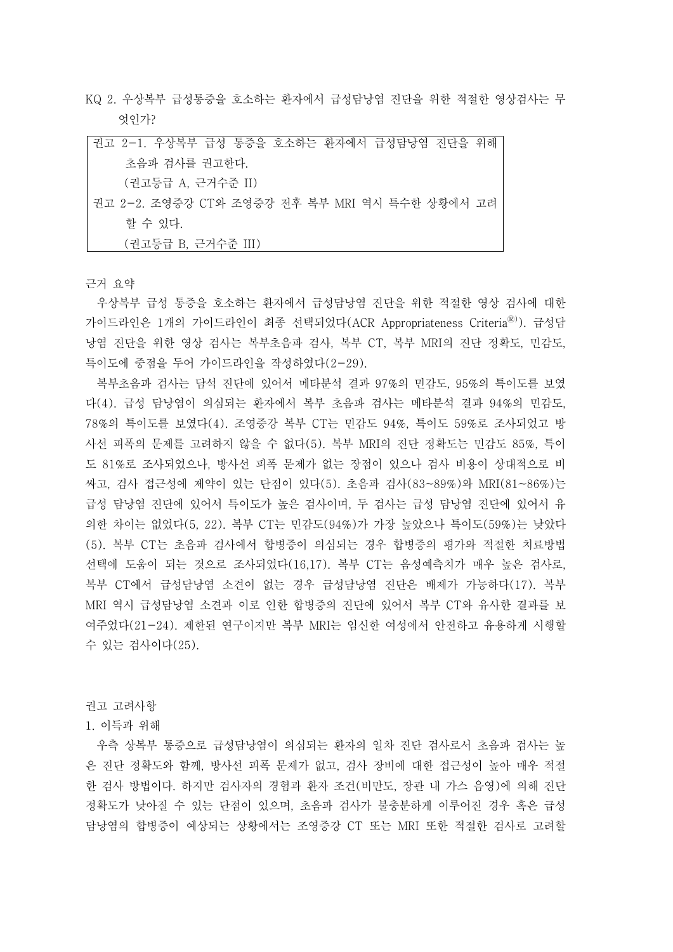KQ 2. 우상복부 급성통증을 호소하는 환자에서 급성담낭염 진단을 위한 적절한 영상검사는 무 엇인가?

| 권고 2-1. 우상복부 급성 통증을 호소하는 환자에서 급성담낭염 진단을 위해     |
|------------------------------------------------|
| 초음파 검사를 권고한다.                                  |
| (권고등급 A, 근거수준 II)                              |
| 권고 2-2. 조영증강 CT와 조영증강 전후 복부 MRI 역시 특수한 상황에서 고려 |
| 할 수 있다.                                        |
| (권고등급 B, 근거수준 III)                             |

근거 요약

우상복부 급성 통증을 호소하는 환자에서 급성담낭염 진단을 위한 적절한 영상 검사에 대한 가이드라인은 1개의 가이드라인이 최종 선택되었다(ACR Appropriateness Criteria®). 급성담 낭염 진단을 위한 영상 검사는 복부초음파 검사, 복부 CT, 복부 MRI의 진단 정확도, 민감도,<br>특이도에 중점을 두어 가이드라인을 작성하였다(2-29).

복부초음파 검사는 담석 진단에 있어서 메타분석 결과 97%의 민감도, 95%의 특이도를 보였 다(4). 급성 담낭염이 의심되는 환자에서 복부 초음파 검사는 메타분석 결과 94%의 민감도,<br>78%의 특이도를 보였다(4). 조영증강 복부 CT는 민감도 94%, 특이도 59%로 조사되었고 방 사선 피폭의 문제를 고려하지 않을 수 없다(5). 복부 MRI의 진단 정확도는 민감도 85%, 특이 도 81%로 조사되었으나, 방사선 피폭 문제가 없는 장점이 있으나 검사 비용이 상대적으로 비 싸고, 검사 접근성에 제약이 있는 단점이 있다(5). 초음파 검사(83~89%)와 MRI(81~86%)는 급성 담낭염 진단에 있어서 특이도가 높은 검사이며, 두 검사는 급성 담낭염 진단에 있어서 유 의한 차이는 없었다(5, 22). 복부 CT는 민감도(94%)가 가장 높았으나 특이도(59%)는 낮았다 (5). 복부 CT는 초음파 검사에서 합병증이 의심되는 경우 합병증의 평가와 적절한 치료방법 선택에 도움이 되는 것으로 조사되었다(16,17). 복부 CT는 음성예측치가 매우 높은 검사로,<br>복부 CT에서 급성담낭염 소견이 없는 경우 급성담낭염 진단은 배제가 가능하다(17). 복부 MRI 역시 급성담낭염 소견과 이로 인한 합병증의 진단에 있어서 복부 CT와 유사한 결과를 보 여주었다(21-24). 제한된 연구이지만 복부 MRI는 임신한 여성에서 안전하고 유용하게 시행할 수 있는 검사이다(25).

권고 고려사항

1. 이득과 위해

우측 상복부 통증으로 급성담낭염이 의심되는 환자의 일차 진단 검사로서 초음파 검사는 높 은 진단 정확도와 함께, 방사선 피폭 문제가 없고, 검사 장비에 대한 접근성이 높아 매우 적절 한 검사 방법이다. 하지만 검사자의 경험과 환자 조건(비만도, 장관 내 가스 음영)에 의해 진단 정확도가 낮아질 수 있는 단점이 있으며, 초음파 검사가 불충분하게 이루어진 경우 혹은 급성 담낭염의 합병증이 예상되는 상황에서는 조영증강 CT 또는 MRI 또한 적절한 검사로 고려할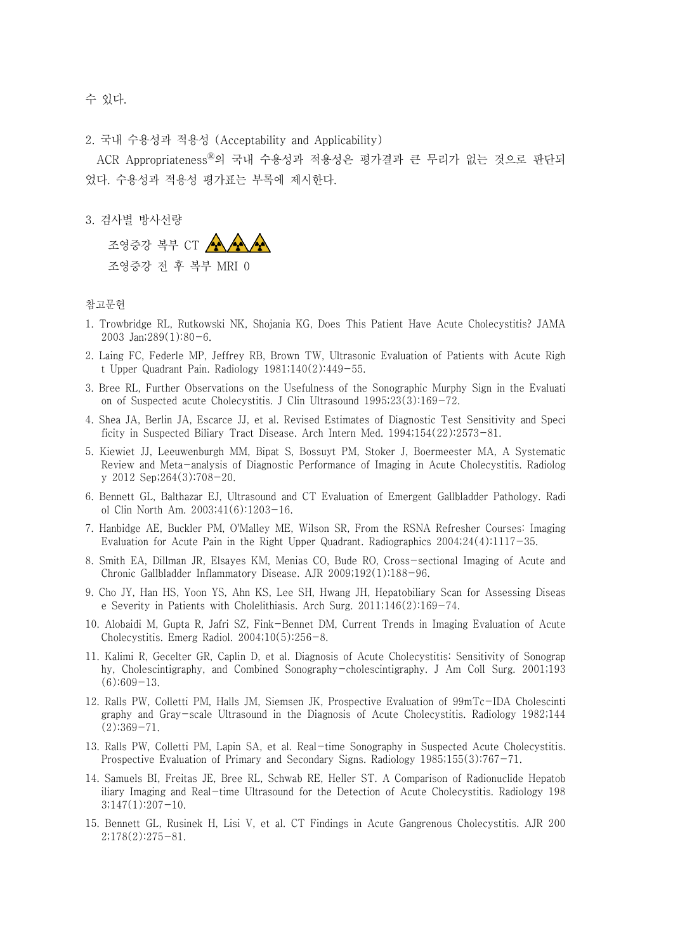수 있다.

2. 국내 수용성과 적용성 (Acceptability and Applicability)

ACR AppropriatenessⓇ의 국내 수용성과 적용성은 평가결과 큰 무리가 없는 것으로 판단되 었다. 수용성과 적용성 평가표는 부록에 제시한다.<br><br>3. 검사별 방사선량

조영증강 복부 CT 조영증강 전 후 복부 MRI 0

## 참고문헌

- 1. Trowbridge RL, Rutkowski NK, Shojania KG, Does This Patient Have Acute Cholecystitis? JAMA 2003 Jan;289(1):80-6.
- 2. Laing FC, Federle MP, Jeffrey RB, Brown TW, Ultrasonic Evaluation of Patients with Acute Righ t Upper Quadrant Pain. Radiology 1981;140(2):449-55.
- 3. Bree RL, Further Observations on the Usefulness of the Sonographic Murphy Sign in the Evaluati on of Suspected acute Cholecystitis. J Clin Ultrasound 1995;23(3):169-72.
- 4. Shea JA, Berlin JA, Escarce JJ, et al. Revised Estimates of Diagnostic Test Sensitivity and Speci ficity in Suspected Biliary Tract Disease. Arch Intern Med. 1994;154(22):2573-81.
- 5. Kiewiet JJ, Leeuwenburgh MM, Bipat S, Bossuyt PM, Stoker J, Boermeester MA, A Systematic Review and Meta-analysis of Diagnostic Performance of Imaging in Acute Cholecystitis. Radiolog y 2012 Sep;264(3):708-20.
- 6. Bennett GL, Balthazar EJ, Ultrasound and CT Evaluation of Emergent Gallbladder Pathology. Radi ol Clin North Am. 2003;41(6):1203-16.
- 7. Hanbidge AE, Buckler PM, O'Malley ME, Wilson SR, From the RSNA Refresher Courses: Imaging Evaluation for Acute Pain in the Right Upper Quadrant. Radiographics 2004;24(4):1117-35.
- 8. Smith EA, Dillman JR, Elsayes KM, Menias CO, Bude RO, Cross-sectional Imaging of Acute and Chronic Gallbladder Inflammatory Disease. AJR 2009;192(1):188-96.
- 9. Cho JY, Han HS, Yoon YS, Ahn KS, Lee SH, Hwang JH, Hepatobiliary Scan for Assessing Diseas e Severity in Patients with Cholelithiasis. Arch Surg. 2011;146(2):169-74.
- 10. Alobaidi M, Gupta R, Jafri SZ, Fink-Bennet DM, Current Trends in Imaging Evaluation of Acute Cholecystitis. Emerg Radiol. 2004;10(5):256-8.
- 11. Kalimi R, Gecelter GR, Caplin D, et al. Diagnosis of Acute Cholecystitis: Sensitivity of Sonograp hy, Cholescintigraphy, and Combined Sonography-cholescintigraphy. J Am Coll Surg. 2001;193 (6):609-13.
- 12. Ralls PW, Colletti PM, Halls JM, Siemsen JK, Prospective Evaluation of 99mTc-IDA Cholescinti graphy and Gray-scale Ultrasound in the Diagnosis of Acute Cholecystitis. Radiology 1982;144  $(2):369-71.$
- 13. Ralls PW, Colletti PM, Lapin SA, et al. Real-time Sonography in Suspected Acute Cholecystitis. Prospective Evaluation of Primary and Secondary Signs. Radiology 1985;155(3):767-71.
- 14. Samuels BI, Freitas JE, Bree RL, Schwab RE, Heller ST. A Comparison of Radionuclide Hepatob iliary Imaging and Real-time Ultrasound for the Detection of Acute Cholecystitis. Radiology 198  $3;147(1):207-10.$
- 15. Bennett GL, Rusinek H, Lisi V, et al. CT Findings in Acute Gangrenous Cholecystitis. AJR 200 2;178(2):275-81.